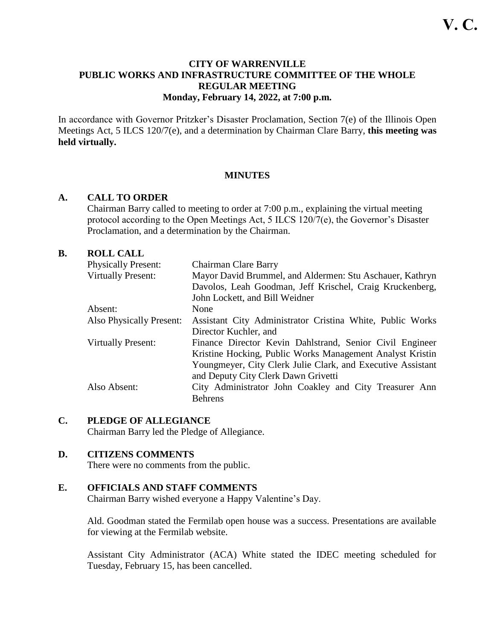## **CITY OF WARRENVILLE PUBLIC WORKS AND INFRASTRUCTURE COMMITTEE OF THE WHOLE REGULAR MEETING Monday, February 14, 2022, at 7:00 p.m.**

In accordance with Governor Pritzker's Disaster Proclamation, Section 7(e) of the Illinois Open Meetings Act, 5 ILCS 120/7(e), and a determination by Chairman Clare Barry, **this meeting was held virtually.** 

## **MINUTES**

## **A. CALL TO ORDER**

Chairman Barry called to meeting to order at 7:00 p.m., explaining the virtual meeting protocol according to the Open Meetings Act, 5 ILCS 120/7(e), the Governor's Disaster Proclamation, and a determination by the Chairman.

## **B. ROLL CALL**

| <b>Physically Present:</b> | Chairman Clare Barry                                        |
|----------------------------|-------------------------------------------------------------|
| <b>Virtually Present:</b>  | Mayor David Brummel, and Aldermen: Stu Aschauer, Kathryn    |
|                            | Davolos, Leah Goodman, Jeff Krischel, Craig Kruckenberg,    |
|                            | John Lockett, and Bill Weidner                              |
| Absent:                    | None                                                        |
| Also Physically Present:   | Assistant City Administrator Cristina White, Public Works   |
|                            | Director Kuchler, and                                       |
| <b>Virtually Present:</b>  | Finance Director Kevin Dahlstrand, Senior Civil Engineer    |
|                            | Kristine Hocking, Public Works Management Analyst Kristin   |
|                            | Youngmeyer, City Clerk Julie Clark, and Executive Assistant |
|                            | and Deputy City Clerk Dawn Grivetti                         |
| Also Absent:               | City Administrator John Coakley and City Treasurer Ann      |
|                            | <b>Behrens</b>                                              |

## **C. PLEDGE OF ALLEGIANCE**

Chairman Barry led the Pledge of Allegiance.

## **D. CITIZENS COMMENTS**

There were no comments from the public.

## **E. OFFICIALS AND STAFF COMMENTS**

Chairman Barry wished everyone a Happy Valentine's Day.

Ald. Goodman stated the Fermilab open house was a success. Presentations are available for viewing at the Fermilab website.

Assistant City Administrator (ACA) White stated the IDEC meeting scheduled for Tuesday, February 15, has been cancelled.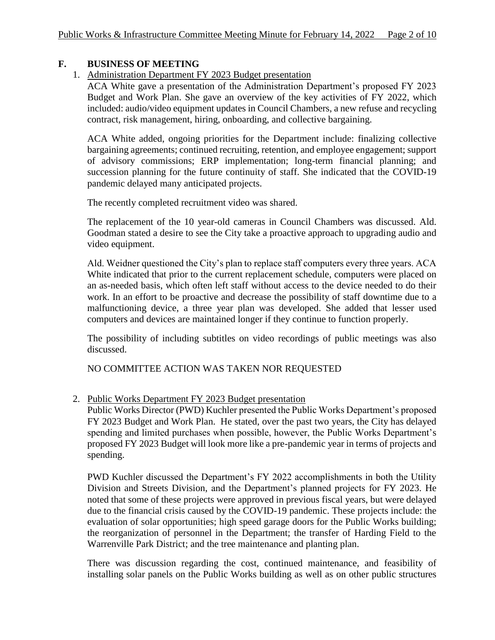# **F. BUSINESS OF MEETING**

1. Administration Department FY 2023 Budget presentation

ACA White gave a presentation of the Administration Department's proposed FY 2023 Budget and Work Plan. She gave an overview of the key activities of FY 2022, which included: audio/video equipment updates in Council Chambers, a new refuse and recycling contract, risk management, hiring, onboarding, and collective bargaining.

ACA White added, ongoing priorities for the Department include: finalizing collective bargaining agreements; continued recruiting, retention, and employee engagement; support of advisory commissions; ERP implementation; long-term financial planning; and succession planning for the future continuity of staff. She indicated that the COVID-19 pandemic delayed many anticipated projects.

The recently completed recruitment video was shared.

The replacement of the 10 year-old cameras in Council Chambers was discussed. Ald. Goodman stated a desire to see the City take a proactive approach to upgrading audio and video equipment.

Ald. Weidner questioned the City's plan to replace staff computers every three years. ACA White indicated that prior to the current replacement schedule, computers were placed on an as-needed basis, which often left staff without access to the device needed to do their work. In an effort to be proactive and decrease the possibility of staff downtime due to a malfunctioning device, a three year plan was developed. She added that lesser used computers and devices are maintained longer if they continue to function properly.

The possibility of including subtitles on video recordings of public meetings was also discussed.

NO COMMITTEE ACTION WAS TAKEN NOR REQUESTED

2. Public Works Department FY 2023 Budget presentation

Public Works Director (PWD) Kuchler presented the Public Works Department's proposed FY 2023 Budget and Work Plan. He stated, over the past two years, the City has delayed spending and limited purchases when possible, however, the Public Works Department's proposed FY 2023 Budget will look more like a pre-pandemic year in terms of projects and spending.

PWD Kuchler discussed the Department's FY 2022 accomplishments in both the Utility Division and Streets Division, and the Department's planned projects for FY 2023. He noted that some of these projects were approved in previous fiscal years, but were delayed due to the financial crisis caused by the COVID-19 pandemic. These projects include: the evaluation of solar opportunities; high speed garage doors for the Public Works building; the reorganization of personnel in the Department; the transfer of Harding Field to the Warrenville Park District; and the tree maintenance and planting plan.

There was discussion regarding the cost, continued maintenance, and feasibility of installing solar panels on the Public Works building as well as on other public structures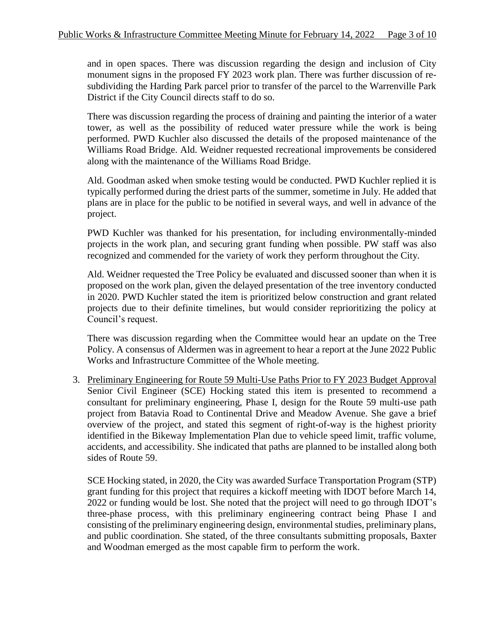and in open spaces. There was discussion regarding the design and inclusion of City monument signs in the proposed FY 2023 work plan. There was further discussion of resubdividing the Harding Park parcel prior to transfer of the parcel to the Warrenville Park District if the City Council directs staff to do so.

There was discussion regarding the process of draining and painting the interior of a water tower, as well as the possibility of reduced water pressure while the work is being performed. PWD Kuchler also discussed the details of the proposed maintenance of the Williams Road Bridge. Ald. Weidner requested recreational improvements be considered along with the maintenance of the Williams Road Bridge.

Ald. Goodman asked when smoke testing would be conducted. PWD Kuchler replied it is typically performed during the driest parts of the summer, sometime in July. He added that plans are in place for the public to be notified in several ways, and well in advance of the project.

PWD Kuchler was thanked for his presentation, for including environmentally-minded projects in the work plan, and securing grant funding when possible. PW staff was also recognized and commended for the variety of work they perform throughout the City.

Ald. Weidner requested the Tree Policy be evaluated and discussed sooner than when it is proposed on the work plan, given the delayed presentation of the tree inventory conducted in 2020. PWD Kuchler stated the item is prioritized below construction and grant related projects due to their definite timelines, but would consider reprioritizing the policy at Council's request.

There was discussion regarding when the Committee would hear an update on the Tree Policy. A consensus of Aldermen was in agreement to hear a report at the June 2022 Public Works and Infrastructure Committee of the Whole meeting.

3. Preliminary Engineering for Route 59 Multi-Use Paths Prior to FY 2023 Budget Approval Senior Civil Engineer (SCE) Hocking stated this item is presented to recommend a consultant for preliminary engineering, Phase I, design for the Route 59 multi-use path project from Batavia Road to Continental Drive and Meadow Avenue. She gave a brief overview of the project, and stated this segment of right-of-way is the highest priority identified in the Bikeway Implementation Plan due to vehicle speed limit, traffic volume, accidents, and accessibility. She indicated that paths are planned to be installed along both sides of Route 59.

SCE Hocking stated, in 2020, the City was awarded Surface Transportation Program (STP) grant funding for this project that requires a kickoff meeting with IDOT before March 14, 2022 or funding would be lost. She noted that the project will need to go through IDOT's three-phase process, with this preliminary engineering contract being Phase I and consisting of the preliminary engineering design, environmental studies, preliminary plans, and public coordination. She stated, of the three consultants submitting proposals, Baxter and Woodman emerged as the most capable firm to perform the work.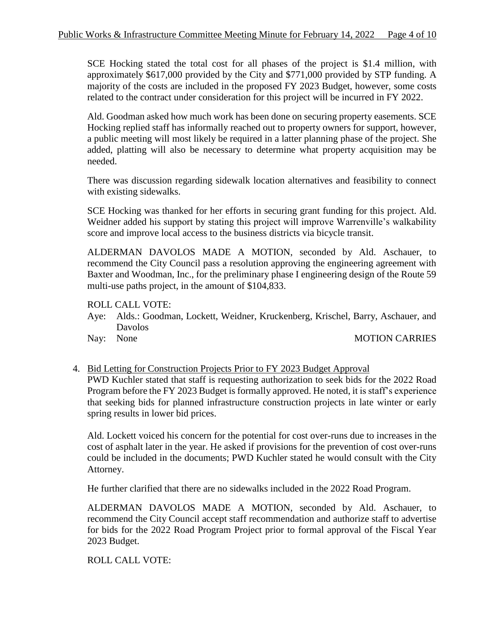SCE Hocking stated the total cost for all phases of the project is \$1.4 million, with approximately \$617,000 provided by the City and \$771,000 provided by STP funding. A majority of the costs are included in the proposed FY 2023 Budget, however, some costs related to the contract under consideration for this project will be incurred in FY 2022.

Ald. Goodman asked how much work has been done on securing property easements. SCE Hocking replied staff has informally reached out to property owners for support, however, a public meeting will most likely be required in a latter planning phase of the project. She added, platting will also be necessary to determine what property acquisition may be needed.

There was discussion regarding sidewalk location alternatives and feasibility to connect with existing sidewalks.

SCE Hocking was thanked for her efforts in securing grant funding for this project. Ald. Weidner added his support by stating this project will improve Warrenville's walkability score and improve local access to the business districts via bicycle transit.

ALDERMAN DAVOLOS MADE A MOTION, seconded by Ald. Aschauer, to recommend the City Council pass a resolution approving the engineering agreement with Baxter and Woodman, Inc., for the preliminary phase I engineering design of the Route 59 multi-use paths project, in the amount of \$104,833.

ROLL CALL VOTE:

Aye: Alds.: Goodman, Lockett, Weidner, Kruckenberg, Krischel, Barry, Aschauer, and Davolos

#### Nay: None MOTION CARRIES

4. Bid Letting for Construction Projects Prior to FY 2023 Budget Approval PWD Kuchler stated that staff is requesting authorization to seek bids for the 2022 Road Program before the FY 2023 Budget is formally approved. He noted, it is staff's experience that seeking bids for planned infrastructure construction projects in late winter or early spring results in lower bid prices.

Ald. Lockett voiced his concern for the potential for cost over-runs due to increases in the cost of asphalt later in the year. He asked if provisions for the prevention of cost over-runs could be included in the documents; PWD Kuchler stated he would consult with the City Attorney.

He further clarified that there are no sidewalks included in the 2022 Road Program.

ALDERMAN DAVOLOS MADE A MOTION, seconded by Ald. Aschauer, to recommend the City Council accept staff recommendation and authorize staff to advertise for bids for the 2022 Road Program Project prior to formal approval of the Fiscal Year 2023 Budget.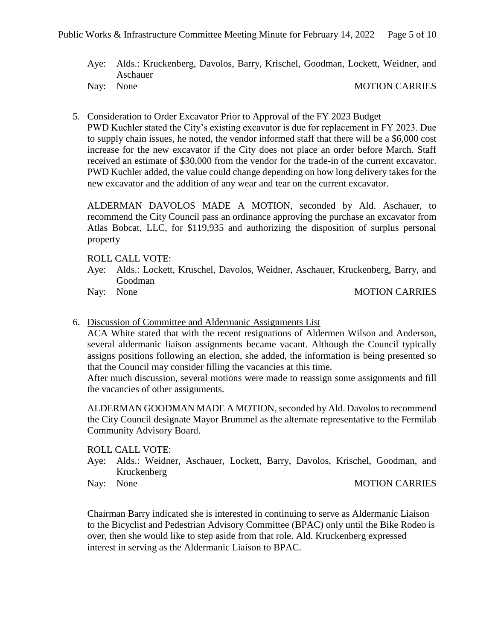Aye: Alds.: Kruckenberg, Davolos, Barry, Krischel, Goodman, Lockett, Weidner, and Aschauer

Nay: None MOTION CARRIES

5. Consideration to Order Excavator Prior to Approval of the FY 2023 Budget

PWD Kuchler stated the City's existing excavator is due for replacement in FY 2023. Due to supply chain issues, he noted, the vendor informed staff that there will be a \$6,000 cost increase for the new excavator if the City does not place an order before March. Staff received an estimate of \$30,000 from the vendor for the trade-in of the current excavator. PWD Kuchler added, the value could change depending on how long delivery takes for the new excavator and the addition of any wear and tear on the current excavator.

ALDERMAN DAVOLOS MADE A MOTION, seconded by Ald. Aschauer, to recommend the City Council pass an ordinance approving the purchase an excavator from Atlas Bobcat, LLC, for \$119,935 and authorizing the disposition of surplus personal property

## ROLL CALL VOTE:

Aye: Alds.: Lockett, Kruschel, Davolos, Weidner, Aschauer, Kruckenberg, Barry, and Goodman

## Nay: None MOTION CARRIES

6. Discussion of Committee and Aldermanic Assignments List

ACA White stated that with the recent resignations of Aldermen Wilson and Anderson, several aldermanic liaison assignments became vacant. Although the Council typically assigns positions following an election, she added, the information is being presented so that the Council may consider filling the vacancies at this time.

After much discussion, several motions were made to reassign some assignments and fill the vacancies of other assignments.

ALDERMAN GOODMAN MADE A MOTION, seconded by Ald. Davolos to recommend the City Council designate Mayor Brummel as the alternate representative to the Fermilab Community Advisory Board.

ROLL CALL VOTE:

- Aye: Alds.: Weidner, Aschauer, Lockett, Barry, Davolos, Krischel, Goodman, and Kruckenberg
- 

#### Nay: None MOTION CARRIES

Chairman Barry indicated she is interested in continuing to serve as Aldermanic Liaison to the Bicyclist and Pedestrian Advisory Committee (BPAC) only until the Bike Rodeo is over, then she would like to step aside from that role. Ald. Kruckenberg expressed interest in serving as the Aldermanic Liaison to BPAC.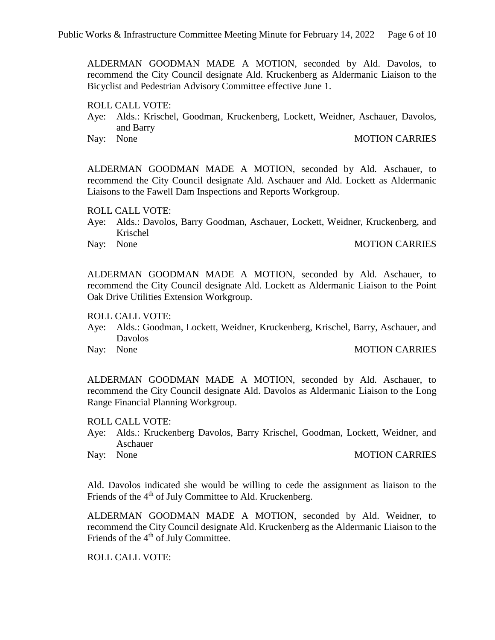ALDERMAN GOODMAN MADE A MOTION, seconded by Ald. Davolos, to recommend the City Council designate Ald. Kruckenberg as Aldermanic Liaison to the Bicyclist and Pedestrian Advisory Committee effective June 1.

ROLL CALL VOTE:

Aye: Alds.: Krischel, Goodman, Kruckenberg, Lockett, Weidner, Aschauer, Davolos, and Barry

#### Nay: None MOTION CARRIES

ALDERMAN GOODMAN MADE A MOTION, seconded by Ald. Aschauer, to recommend the City Council designate Ald. Aschauer and Ald. Lockett as Aldermanic Liaisons to the Fawell Dam Inspections and Reports Workgroup.

ROLL CALL VOTE:

- Aye: Alds.: Davolos, Barry Goodman, Aschauer, Lockett, Weidner, Kruckenberg, and Krischel
- 

### Nay: None MOTION CARRIES

ALDERMAN GOODMAN MADE A MOTION, seconded by Ald. Aschauer, to recommend the City Council designate Ald. Lockett as Aldermanic Liaison to the Point Oak Drive Utilities Extension Workgroup.

ROLL CALL VOTE:

- Aye: Alds.: Goodman, Lockett, Weidner, Kruckenberg, Krischel, Barry, Aschauer, and Davolos
- 

### Nay: None MOTION CARRIES

ALDERMAN GOODMAN MADE A MOTION, seconded by Ald. Aschauer, to recommend the City Council designate Ald. Davolos as Aldermanic Liaison to the Long Range Financial Planning Workgroup.

ROLL CALL VOTE:

- Aye: Alds.: Kruckenberg Davolos, Barry Krischel, Goodman, Lockett, Weidner, and Aschauer
- 

#### Nay: None MOTION CARRIES

Ald. Davolos indicated she would be willing to cede the assignment as liaison to the Friends of the 4<sup>th</sup> of July Committee to Ald. Kruckenberg.

ALDERMAN GOODMAN MADE A MOTION, seconded by Ald. Weidner, to recommend the City Council designate Ald. Kruckenberg as the Aldermanic Liaison to the Friends of the 4<sup>th</sup> of July Committee.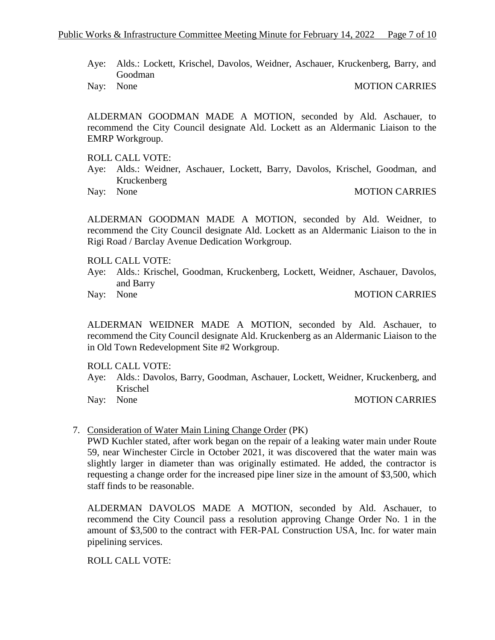- Aye: Alds.: Lockett, Krischel, Davolos, Weidner, Aschauer, Kruckenberg, Barry, and Goodman
- 

Nay: None MOTION CARRIES

ALDERMAN GOODMAN MADE A MOTION, seconded by Ald. Aschauer, to recommend the City Council designate Ald. Lockett as an Aldermanic Liaison to the EMRP Workgroup.

ROLL CALL VOTE:

- Aye: Alds.: Weidner, Aschauer, Lockett, Barry, Davolos, Krischel, Goodman, and Kruckenberg
- 

Nay: None MOTION CARRIES

ALDERMAN GOODMAN MADE A MOTION, seconded by Ald. Weidner, to recommend the City Council designate Ald. Lockett as an Aldermanic Liaison to the in Rigi Road / Barclay Avenue Dedication Workgroup.

### ROLL CALL VOTE:

Aye: Alds.: Krischel, Goodman, Kruckenberg, Lockett, Weidner, Aschauer, Davolos, and Barry

Nay: None MOTION CARRIES

ALDERMAN WEIDNER MADE A MOTION, seconded by Ald. Aschauer, to recommend the City Council designate Ald. Kruckenberg as an Aldermanic Liaison to the in Old Town Redevelopment Site #2 Workgroup.

#### ROLL CALL VOTE:

- Aye: Alds.: Davolos, Barry, Goodman, Aschauer, Lockett, Weidner, Kruckenberg, and Krischel
- 

Nay: None MOTION CARRIES

#### 7. Consideration of Water Main Lining Change Order (PK)

PWD Kuchler stated, after work began on the repair of a leaking water main under Route 59, near Winchester Circle in October 2021, it was discovered that the water main was slightly larger in diameter than was originally estimated. He added, the contractor is requesting a change order for the increased pipe liner size in the amount of \$3,500, which staff finds to be reasonable.

ALDERMAN DAVOLOS MADE A MOTION, seconded by Ald. Aschauer, to recommend the City Council pass a resolution approving Change Order No. 1 in the amount of \$3,500 to the contract with FER-PAL Construction USA, Inc. for water main pipelining services.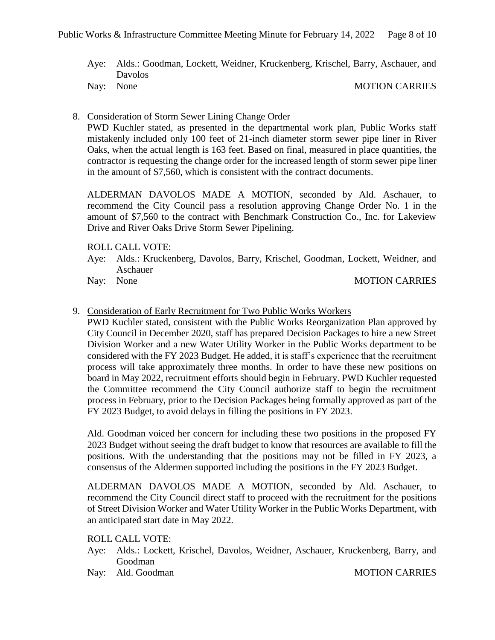- Aye: Alds.: Goodman, Lockett, Weidner, Kruckenberg, Krischel, Barry, Aschauer, and Davolos
- 

Nay: None MOTION CARRIES

8. Consideration of Storm Sewer Lining Change Order

PWD Kuchler stated, as presented in the departmental work plan, Public Works staff mistakenly included only 100 feet of 21-inch diameter storm sewer pipe liner in River Oaks, when the actual length is 163 feet. Based on final, measured in place quantities, the contractor is requesting the change order for the increased length of storm sewer pipe liner in the amount of \$7,560, which is consistent with the contract documents.

ALDERMAN DAVOLOS MADE A MOTION, seconded by Ald. Aschauer, to recommend the City Council pass a resolution approving Change Order No. 1 in the amount of \$7,560 to the contract with Benchmark Construction Co., Inc. for Lakeview Drive and River Oaks Drive Storm Sewer Pipelining.

## ROLL CALL VOTE:

- Aye: Alds.: Kruckenberg, Davolos, Barry, Krischel, Goodman, Lockett, Weidner, and Aschauer
- 

### Nay: None MOTION CARRIES

## 9. Consideration of Early Recruitment for Two Public Works Workers

PWD Kuchler stated, consistent with the Public Works Reorganization Plan approved by City Council in December 2020, staff has prepared Decision Packages to hire a new Street Division Worker and a new Water Utility Worker in the Public Works department to be considered with the FY 2023 Budget. He added, it is staff's experience that the recruitment process will take approximately three months. In order to have these new positions on board in May 2022, recruitment efforts should begin in February. PWD Kuchler requested the Committee recommend the City Council authorize staff to begin the recruitment process in February, prior to the Decision Packages being formally approved as part of the FY 2023 Budget, to avoid delays in filling the positions in FY 2023.

Ald. Goodman voiced her concern for including these two positions in the proposed FY 2023 Budget without seeing the draft budget to know that resources are available to fill the positions. With the understanding that the positions may not be filled in FY 2023, a consensus of the Aldermen supported including the positions in the FY 2023 Budget.

ALDERMAN DAVOLOS MADE A MOTION, seconded by Ald. Aschauer, to recommend the City Council direct staff to proceed with the recruitment for the positions of Street Division Worker and Water Utility Worker in the Public Works Department, with an anticipated start date in May 2022.

- Aye: Alds.: Lockett, Krischel, Davolos, Weidner, Aschauer, Kruckenberg, Barry, and Goodman
- Nay: Ald. Goodman MOTION CARRIES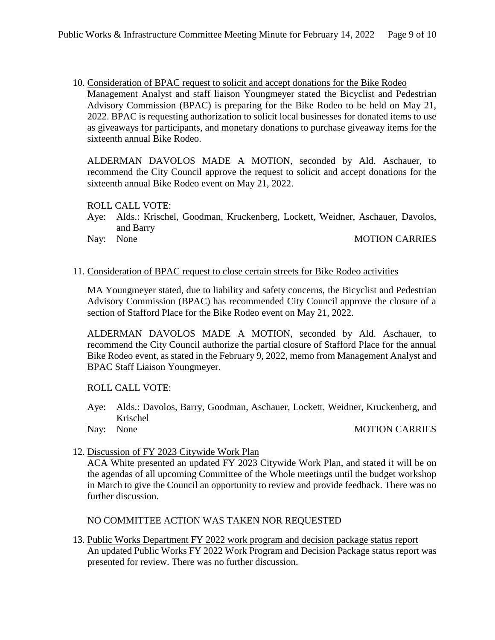10. Consideration of BPAC request to solicit and accept donations for the Bike Rodeo Management Analyst and staff liaison Youngmeyer stated the Bicyclist and Pedestrian Advisory Commission (BPAC) is preparing for the Bike Rodeo to be held on May 21, 2022. BPAC is requesting authorization to solicit local businesses for donated items to use as giveaways for participants, and monetary donations to purchase giveaway items for the sixteenth annual Bike Rodeo.

ALDERMAN DAVOLOS MADE A MOTION, seconded by Ald. Aschauer, to recommend the City Council approve the request to solicit and accept donations for the sixteenth annual Bike Rodeo event on May 21, 2022.

ROLL CALL VOTE:

- Aye: Alds.: Krischel, Goodman, Kruckenberg, Lockett, Weidner, Aschauer, Davolos, and Barry
- Nay: None MOTION CARRIES

#### 11. Consideration of BPAC request to close certain streets for Bike Rodeo activities

MA Youngmeyer stated, due to liability and safety concerns, the Bicyclist and Pedestrian Advisory Commission (BPAC) has recommended City Council approve the closure of a section of Stafford Place for the Bike Rodeo event on May 21, 2022.

ALDERMAN DAVOLOS MADE A MOTION, seconded by Ald. Aschauer, to recommend the City Council authorize the partial closure of Stafford Place for the annual Bike Rodeo event, as stated in the February 9, 2022, memo from Management Analyst and BPAC Staff Liaison Youngmeyer.

#### ROLL CALL VOTE:

- Aye: Alds.: Davolos, Barry, Goodman, Aschauer, Lockett, Weidner, Kruckenberg, and Krischel
- 

## Nay: None MOTION CARRIES

12. Discussion of FY 2023 Citywide Work Plan

ACA White presented an updated FY 2023 Citywide Work Plan, and stated it will be on the agendas of all upcoming Committee of the Whole meetings until the budget workshop in March to give the Council an opportunity to review and provide feedback. There was no further discussion.

NO COMMITTEE ACTION WAS TAKEN NOR REQUESTED

13. Public Works Department FY 2022 work program and decision package status report An updated Public Works FY 2022 Work Program and Decision Package status report was presented for review. There was no further discussion.